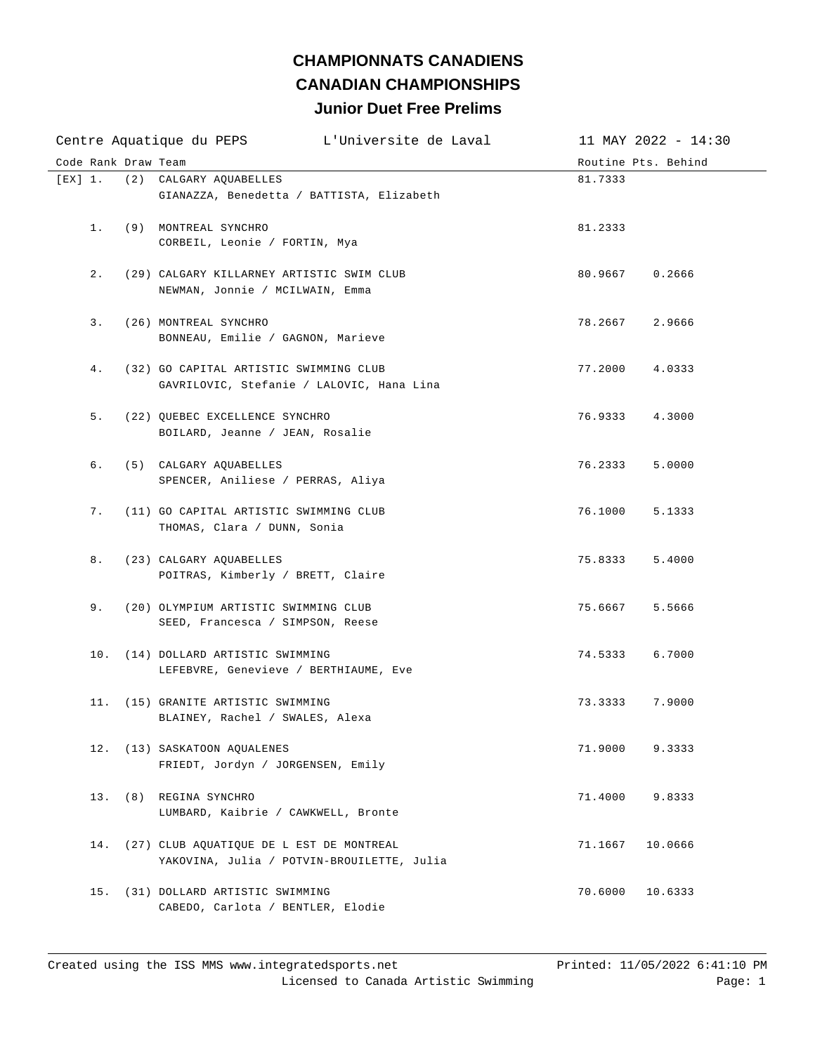## **Junior Duet Free Prelims CHAMPIONNATS CANADIENS CANADIAN CHAMPIONSHIPS**

| Code Rank Draw Team<br>Routine Pts. Behind<br>[EX] 1.<br>(2) CALGARY AQUABELLES<br>81.7333<br>GIANAZZA, Benedetta / BATTISTA, Elizabeth<br>1. (9) MONTREAL SYNCHRO<br>81.2333<br>CORBEIL, Leonie / FORTIN, Mya<br>2.<br>(29) CALGARY KILLARNEY ARTISTIC SWIM CLUB<br>80.9667<br>0.2666<br>NEWMAN, Jonnie / MCILWAIN, Emma<br>3.<br>78.2667<br>(26) MONTREAL SYNCHRO<br>2.9666<br>BONNEAU, Emilie / GAGNON, Marieve<br>4.<br>(32) GO CAPITAL ARTISTIC SWIMMING CLUB<br>77.2000<br>4.0333<br>GAVRILOVIC, Stefanie / LALOVIC, Hana Lina<br>5. (22) OUEBEC EXCELLENCE SYNCHRO<br>76.9333<br>4.3000<br>BOILARD, Jeanne / JEAN, Rosalie<br>б.<br>(5) CALGARY AQUABELLES<br>76.2333<br>5.0000<br>SPENCER, Aniliese / PERRAS, Aliya<br>7.<br>76.1000<br>(11) GO CAPITAL ARTISTIC SWIMMING CLUB<br>5.1333<br>THOMAS, Clara / DUNN, Sonia<br>8.<br>(23) CALGARY AQUABELLES<br>75.8333<br>5.4000<br>POITRAS, Kimberly / BRETT, Claire<br>9. (20) OLYMPIUM ARTISTIC SWIMMING CLUB<br>75.6667<br>5.5666<br>SEED, Francesca / SIMPSON, Reese<br>10. (14) DOLLARD ARTISTIC SWIMMING<br>74.5333<br>6.7000<br>LEFEBVRE, Genevieve / BERTHIAUME, Eve<br>11. (15) GRANITE ARTISTIC SWIMMING<br>73.3333<br>7.9000<br>BLAINEY, Rachel / SWALES, Alexa<br>12. (13) SASKATOON AQUALENES<br>71.9000<br>9.3333<br>FRIEDT, Jordyn / JORGENSEN, Emily<br>13. (8) REGINA SYNCHRO<br>71.4000<br>9.8333<br>LUMBARD, Kaibrie / CAWKWELL, Bronte<br>(27) CLUB AQUATIQUE DE L EST DE MONTREAL<br>14.<br>71.1667<br>10.0666<br>YAKOVINA, Julia / POTVIN-BROUILETTE, Julia<br>15. (31) DOLLARD ARTISTIC SWIMMING<br>70.6000<br>10.6333<br>CABEDO, Carlota / BENTLER, Elodie |  | L'Universite de Laval<br>Centre Aquatique du PEPS | 11 MAY 2022 - 14:30 |
|------------------------------------------------------------------------------------------------------------------------------------------------------------------------------------------------------------------------------------------------------------------------------------------------------------------------------------------------------------------------------------------------------------------------------------------------------------------------------------------------------------------------------------------------------------------------------------------------------------------------------------------------------------------------------------------------------------------------------------------------------------------------------------------------------------------------------------------------------------------------------------------------------------------------------------------------------------------------------------------------------------------------------------------------------------------------------------------------------------------------------------------------------------------------------------------------------------------------------------------------------------------------------------------------------------------------------------------------------------------------------------------------------------------------------------------------------------------------------------------------------------------------------------------------------------------------------------------------------------------------------------------|--|---------------------------------------------------|---------------------|
|                                                                                                                                                                                                                                                                                                                                                                                                                                                                                                                                                                                                                                                                                                                                                                                                                                                                                                                                                                                                                                                                                                                                                                                                                                                                                                                                                                                                                                                                                                                                                                                                                                          |  |                                                   |                     |
|                                                                                                                                                                                                                                                                                                                                                                                                                                                                                                                                                                                                                                                                                                                                                                                                                                                                                                                                                                                                                                                                                                                                                                                                                                                                                                                                                                                                                                                                                                                                                                                                                                          |  |                                                   |                     |
|                                                                                                                                                                                                                                                                                                                                                                                                                                                                                                                                                                                                                                                                                                                                                                                                                                                                                                                                                                                                                                                                                                                                                                                                                                                                                                                                                                                                                                                                                                                                                                                                                                          |  |                                                   |                     |
|                                                                                                                                                                                                                                                                                                                                                                                                                                                                                                                                                                                                                                                                                                                                                                                                                                                                                                                                                                                                                                                                                                                                                                                                                                                                                                                                                                                                                                                                                                                                                                                                                                          |  |                                                   |                     |
|                                                                                                                                                                                                                                                                                                                                                                                                                                                                                                                                                                                                                                                                                                                                                                                                                                                                                                                                                                                                                                                                                                                                                                                                                                                                                                                                                                                                                                                                                                                                                                                                                                          |  |                                                   |                     |
|                                                                                                                                                                                                                                                                                                                                                                                                                                                                                                                                                                                                                                                                                                                                                                                                                                                                                                                                                                                                                                                                                                                                                                                                                                                                                                                                                                                                                                                                                                                                                                                                                                          |  |                                                   |                     |
|                                                                                                                                                                                                                                                                                                                                                                                                                                                                                                                                                                                                                                                                                                                                                                                                                                                                                                                                                                                                                                                                                                                                                                                                                                                                                                                                                                                                                                                                                                                                                                                                                                          |  |                                                   |                     |
|                                                                                                                                                                                                                                                                                                                                                                                                                                                                                                                                                                                                                                                                                                                                                                                                                                                                                                                                                                                                                                                                                                                                                                                                                                                                                                                                                                                                                                                                                                                                                                                                                                          |  |                                                   |                     |
|                                                                                                                                                                                                                                                                                                                                                                                                                                                                                                                                                                                                                                                                                                                                                                                                                                                                                                                                                                                                                                                                                                                                                                                                                                                                                                                                                                                                                                                                                                                                                                                                                                          |  |                                                   |                     |
|                                                                                                                                                                                                                                                                                                                                                                                                                                                                                                                                                                                                                                                                                                                                                                                                                                                                                                                                                                                                                                                                                                                                                                                                                                                                                                                                                                                                                                                                                                                                                                                                                                          |  |                                                   |                     |
|                                                                                                                                                                                                                                                                                                                                                                                                                                                                                                                                                                                                                                                                                                                                                                                                                                                                                                                                                                                                                                                                                                                                                                                                                                                                                                                                                                                                                                                                                                                                                                                                                                          |  |                                                   |                     |
|                                                                                                                                                                                                                                                                                                                                                                                                                                                                                                                                                                                                                                                                                                                                                                                                                                                                                                                                                                                                                                                                                                                                                                                                                                                                                                                                                                                                                                                                                                                                                                                                                                          |  |                                                   |                     |
|                                                                                                                                                                                                                                                                                                                                                                                                                                                                                                                                                                                                                                                                                                                                                                                                                                                                                                                                                                                                                                                                                                                                                                                                                                                                                                                                                                                                                                                                                                                                                                                                                                          |  |                                                   |                     |
|                                                                                                                                                                                                                                                                                                                                                                                                                                                                                                                                                                                                                                                                                                                                                                                                                                                                                                                                                                                                                                                                                                                                                                                                                                                                                                                                                                                                                                                                                                                                                                                                                                          |  |                                                   |                     |
|                                                                                                                                                                                                                                                                                                                                                                                                                                                                                                                                                                                                                                                                                                                                                                                                                                                                                                                                                                                                                                                                                                                                                                                                                                                                                                                                                                                                                                                                                                                                                                                                                                          |  |                                                   |                     |
|                                                                                                                                                                                                                                                                                                                                                                                                                                                                                                                                                                                                                                                                                                                                                                                                                                                                                                                                                                                                                                                                                                                                                                                                                                                                                                                                                                                                                                                                                                                                                                                                                                          |  |                                                   |                     |
|                                                                                                                                                                                                                                                                                                                                                                                                                                                                                                                                                                                                                                                                                                                                                                                                                                                                                                                                                                                                                                                                                                                                                                                                                                                                                                                                                                                                                                                                                                                                                                                                                                          |  |                                                   |                     |
|                                                                                                                                                                                                                                                                                                                                                                                                                                                                                                                                                                                                                                                                                                                                                                                                                                                                                                                                                                                                                                                                                                                                                                                                                                                                                                                                                                                                                                                                                                                                                                                                                                          |  |                                                   |                     |
|                                                                                                                                                                                                                                                                                                                                                                                                                                                                                                                                                                                                                                                                                                                                                                                                                                                                                                                                                                                                                                                                                                                                                                                                                                                                                                                                                                                                                                                                                                                                                                                                                                          |  |                                                   |                     |
|                                                                                                                                                                                                                                                                                                                                                                                                                                                                                                                                                                                                                                                                                                                                                                                                                                                                                                                                                                                                                                                                                                                                                                                                                                                                                                                                                                                                                                                                                                                                                                                                                                          |  |                                                   |                     |
|                                                                                                                                                                                                                                                                                                                                                                                                                                                                                                                                                                                                                                                                                                                                                                                                                                                                                                                                                                                                                                                                                                                                                                                                                                                                                                                                                                                                                                                                                                                                                                                                                                          |  |                                                   |                     |
|                                                                                                                                                                                                                                                                                                                                                                                                                                                                                                                                                                                                                                                                                                                                                                                                                                                                                                                                                                                                                                                                                                                                                                                                                                                                                                                                                                                                                                                                                                                                                                                                                                          |  |                                                   |                     |
|                                                                                                                                                                                                                                                                                                                                                                                                                                                                                                                                                                                                                                                                                                                                                                                                                                                                                                                                                                                                                                                                                                                                                                                                                                                                                                                                                                                                                                                                                                                                                                                                                                          |  |                                                   |                     |
|                                                                                                                                                                                                                                                                                                                                                                                                                                                                                                                                                                                                                                                                                                                                                                                                                                                                                                                                                                                                                                                                                                                                                                                                                                                                                                                                                                                                                                                                                                                                                                                                                                          |  |                                                   |                     |
|                                                                                                                                                                                                                                                                                                                                                                                                                                                                                                                                                                                                                                                                                                                                                                                                                                                                                                                                                                                                                                                                                                                                                                                                                                                                                                                                                                                                                                                                                                                                                                                                                                          |  |                                                   |                     |
|                                                                                                                                                                                                                                                                                                                                                                                                                                                                                                                                                                                                                                                                                                                                                                                                                                                                                                                                                                                                                                                                                                                                                                                                                                                                                                                                                                                                                                                                                                                                                                                                                                          |  |                                                   |                     |
|                                                                                                                                                                                                                                                                                                                                                                                                                                                                                                                                                                                                                                                                                                                                                                                                                                                                                                                                                                                                                                                                                                                                                                                                                                                                                                                                                                                                                                                                                                                                                                                                                                          |  |                                                   |                     |
|                                                                                                                                                                                                                                                                                                                                                                                                                                                                                                                                                                                                                                                                                                                                                                                                                                                                                                                                                                                                                                                                                                                                                                                                                                                                                                                                                                                                                                                                                                                                                                                                                                          |  |                                                   |                     |
|                                                                                                                                                                                                                                                                                                                                                                                                                                                                                                                                                                                                                                                                                                                                                                                                                                                                                                                                                                                                                                                                                                                                                                                                                                                                                                                                                                                                                                                                                                                                                                                                                                          |  |                                                   |                     |
|                                                                                                                                                                                                                                                                                                                                                                                                                                                                                                                                                                                                                                                                                                                                                                                                                                                                                                                                                                                                                                                                                                                                                                                                                                                                                                                                                                                                                                                                                                                                                                                                                                          |  |                                                   |                     |
|                                                                                                                                                                                                                                                                                                                                                                                                                                                                                                                                                                                                                                                                                                                                                                                                                                                                                                                                                                                                                                                                                                                                                                                                                                                                                                                                                                                                                                                                                                                                                                                                                                          |  |                                                   |                     |
|                                                                                                                                                                                                                                                                                                                                                                                                                                                                                                                                                                                                                                                                                                                                                                                                                                                                                                                                                                                                                                                                                                                                                                                                                                                                                                                                                                                                                                                                                                                                                                                                                                          |  |                                                   |                     |
|                                                                                                                                                                                                                                                                                                                                                                                                                                                                                                                                                                                                                                                                                                                                                                                                                                                                                                                                                                                                                                                                                                                                                                                                                                                                                                                                                                                                                                                                                                                                                                                                                                          |  |                                                   |                     |
|                                                                                                                                                                                                                                                                                                                                                                                                                                                                                                                                                                                                                                                                                                                                                                                                                                                                                                                                                                                                                                                                                                                                                                                                                                                                                                                                                                                                                                                                                                                                                                                                                                          |  |                                                   |                     |
|                                                                                                                                                                                                                                                                                                                                                                                                                                                                                                                                                                                                                                                                                                                                                                                                                                                                                                                                                                                                                                                                                                                                                                                                                                                                                                                                                                                                                                                                                                                                                                                                                                          |  |                                                   |                     |
|                                                                                                                                                                                                                                                                                                                                                                                                                                                                                                                                                                                                                                                                                                                                                                                                                                                                                                                                                                                                                                                                                                                                                                                                                                                                                                                                                                                                                                                                                                                                                                                                                                          |  |                                                   |                     |
|                                                                                                                                                                                                                                                                                                                                                                                                                                                                                                                                                                                                                                                                                                                                                                                                                                                                                                                                                                                                                                                                                                                                                                                                                                                                                                                                                                                                                                                                                                                                                                                                                                          |  |                                                   |                     |
|                                                                                                                                                                                                                                                                                                                                                                                                                                                                                                                                                                                                                                                                                                                                                                                                                                                                                                                                                                                                                                                                                                                                                                                                                                                                                                                                                                                                                                                                                                                                                                                                                                          |  |                                                   |                     |
|                                                                                                                                                                                                                                                                                                                                                                                                                                                                                                                                                                                                                                                                                                                                                                                                                                                                                                                                                                                                                                                                                                                                                                                                                                                                                                                                                                                                                                                                                                                                                                                                                                          |  |                                                   |                     |